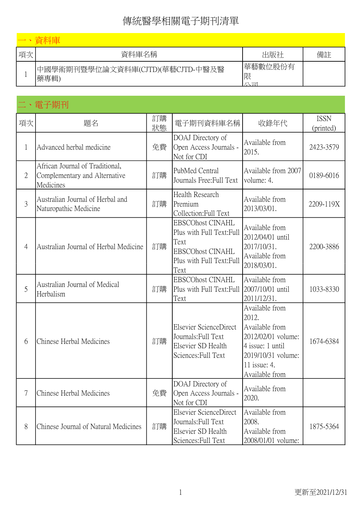| 項次 | 資料庫名稱                                     | 出版社                    | 備註 |
|----|-------------------------------------------|------------------------|----|
|    | 中國學術期刊暨學位論文資料庫(CJTD)(華藝CJTD-中醫及醫<br> 藥專輯) | 華藝數位股份有<br>限<br>$\sim$ |    |

# 二、電子期刊

| 項次             | 題名                                                                            | 訂購<br>狀態 | 電子期刊資料庫名稱                                                                                                                    | 收錄年代                                                                                                                                        | <b>ISSN</b><br>(printed) |
|----------------|-------------------------------------------------------------------------------|----------|------------------------------------------------------------------------------------------------------------------------------|---------------------------------------------------------------------------------------------------------------------------------------------|--------------------------|
| 1              | Advanced herbal medicine                                                      | 免費       | DOAJ Directory of<br>Open Access Journals -<br>Not for CDI                                                                   | Available from<br>2015.                                                                                                                     | 2423-3579                |
| $\overline{2}$ | African Journal of Traditional,<br>Complementary and Alternative<br>Medicines | 訂購       | PubMed Central<br>Journals Free: Full Text                                                                                   | Available from 2007<br>volume: 4.                                                                                                           | 0189-6016                |
| $\overline{3}$ | Australian Journal of Herbal and<br>Naturopathic Medicine                     | 訂購       | Health Research<br>Premium<br>Collection:Full Text                                                                           | Available from<br>2013/03/01.                                                                                                               | 2209-119X                |
| 4              | Australian Journal of Herbal Medicine                                         | 訂購       | <b>EBSCOhost CINAHL</b><br>Plus with Full Text: Full<br>Text<br><b>EBSCOhost CINAHL</b><br>Plus with Full Text: Full<br>Text | Available from<br>2012/04/01 until<br>2017/10/31.<br>Available from<br>2018/03/01.                                                          | 2200-3886                |
| 5              | Australian Journal of Medical<br>Herbalism                                    | 訂購       | <b>EBSCOhost CINAHL</b><br>Plus with Full Text: Full<br>Text                                                                 | Available from<br>2007/10/01 until<br>2011/12/31.                                                                                           | 1033-8330                |
| 6              | Chinese Herbal Medicines                                                      | 訂購       | Elsevier ScienceDirect<br>Journals: Full Text<br>Elsevier SD Health<br>Sciences: Full Text                                   | Available from<br>2012.<br>Available from<br>2012/02/01 volume:<br>4 issue: 1 until<br>2019/10/31 volume:<br>11 issue: 4.<br>Available from | 1674-6384                |
| $\overline{7}$ | Chinese Herbal Medicines                                                      | 免費       | DOAJ Directory of<br>Open Access Journals -<br>Not for CDI                                                                   | Available from<br>2020.                                                                                                                     |                          |
| 8              | Chinese Journal of Natural Medicines                                          | 訂購       | Elsevier ScienceDirect<br>Journals: Full Text<br>Elsevier SD Health<br>Sciences: Full Text                                   | Available from<br>2008.<br>Available from<br>2008/01/01 volume:                                                                             | 1875-5364                |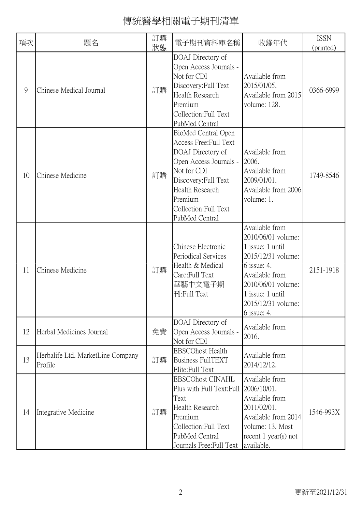| 項次 | 題名                                           | 訂購<br>狀態 | 電子期刊資料庫名稱                                                                                                                                                                                                    | 收錄年代                                                                                                                                                                                             | <b>ISSN</b><br>(printed) |
|----|----------------------------------------------|----------|--------------------------------------------------------------------------------------------------------------------------------------------------------------------------------------------------------------|--------------------------------------------------------------------------------------------------------------------------------------------------------------------------------------------------|--------------------------|
| 9  | Chinese Medical Journal                      | 訂購       | DOAJ Directory of<br>Open Access Journals -<br>Not for CDI<br>Discovery: Full Text<br>Health Research<br>Premium<br>Collection: Full Text<br>PubMed Central                                                  | Available from<br>2015/01/05.<br>Available from 2015<br>volume: 128.                                                                                                                             | 0366-6999                |
| 10 | Chinese Medicine                             | 訂購       | BioMed Central Open<br>Access Free: Full Text<br>DOAJ Directory of<br>Open Access Journals -<br>Not for CDI<br>Discovery: Full Text<br>Health Research<br>Premium<br>Collection: Full Text<br>PubMed Central | Available from<br>2006.<br>Available from<br>2009/01/01.<br>Available from 2006<br>volume: 1.                                                                                                    | 1749-8546                |
| 11 | Chinese Medicine                             | 訂購       | Chinese Electronic<br>Periodical Services<br>Health & Medical<br>Care: Full Text<br>華藝中文電子期<br>刊:Full Text                                                                                                   | Available from<br>2010/06/01 volume:<br>1 issue: 1 until<br>2015/12/31 volume:<br>6 issue: 4.<br>Available from<br>2010/06/01 volume:<br>1 issue: 1 until<br>2015/12/31 volume:<br>$6$ issue: 4. | 2151-1918                |
| 12 | Herbal Medicines Journal                     | 免費       | DOAJ Directory of<br>Open Access Journals -<br>Not for CDI                                                                                                                                                   | Available from<br>2016.                                                                                                                                                                          |                          |
| 13 | Herbalife Ltd. MarketLine Company<br>Profile | 訂購       | <b>EBSCOhost Health</b><br><b>Business FullTEXT</b><br>Elite: Full Text                                                                                                                                      | Available from<br>2014/12/12.                                                                                                                                                                    |                          |
| 14 | Integrative Medicine                         | 訂購       | <b>EBSCOhost CINAHL</b><br>Plus with Full Text: Full<br>Text<br>Health Research<br>Premium<br>Collection: Full Text<br>PubMed Central<br>Journals Free: Full Text                                            | Available from<br>2006/10/01.<br>Available from<br>2011/02/01.<br>Available from 2014<br>volume: 13. Most<br>recent $1$ year(s) not<br>available.                                                | 1546-993X                |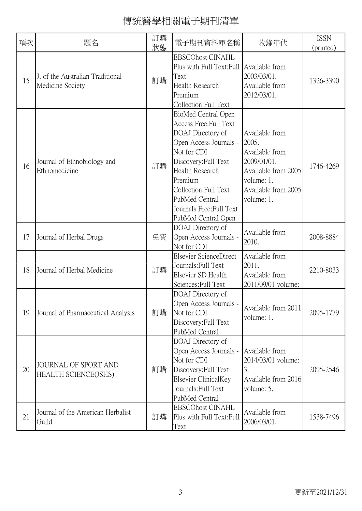| 項次 | 題名                                                    | 訂購<br>狀態 | 電子期刊資料庫名稱                                                                                                                                                                                                                                                      | 收錄年代                                                                                                                               | <b>ISSN</b><br>(printed) |
|----|-------------------------------------------------------|----------|----------------------------------------------------------------------------------------------------------------------------------------------------------------------------------------------------------------------------------------------------------------|------------------------------------------------------------------------------------------------------------------------------------|--------------------------|
| 15 | J. of the Australian Traditional-<br>Medicine Society | 訂購       | <b>EBSCOhost CINAHL</b><br>Plus with Full Text: Full Available from<br>Text<br><b>Health Research</b><br>Premium<br>Collection:Full Text                                                                                                                       | 2003/03/01.<br>Available from<br>2012/03/01.                                                                                       | 1326-3390                |
| 16 | Journal of Ethnobiology and<br>Ethnomedicine          | 訂購       | BioMed Central Open<br>Access Free: Full Text<br>DOAJ Directory of<br>Open Access Journals -<br>Not for CDI<br>Discovery: Full Text<br>Health Research<br>Premium<br>Collection:Full Text<br>PubMed Central<br>Journals Free: Full Text<br>PubMed Central Open | Available from<br>2005.<br>Available from<br>2009/01/01.<br>Available from 2005<br>volume: 1.<br>Available from 2005<br>volume: 1. | 1746-4269                |
| 17 | Journal of Herbal Drugs                               | 免費       | DOAJ Directory of<br>Open Access Journals -<br>Not for CDI                                                                                                                                                                                                     | Available from<br>2010.                                                                                                            | 2008-8884                |
| 18 | Journal of Herbal Medicine                            | 訂購       | Elsevier ScienceDirect<br>Journals: Full Text<br>Elsevier SD Health<br>Sciences: Full Text                                                                                                                                                                     | Available from<br>2011.<br>Available from<br>2011/09/01 volume:                                                                    | 2210-8033                |
| 19 | Journal of Pharmaceutical Analysis                    | 訂購       | DOAJ Directory of<br>Open Access Journals -<br>Not for CDI<br>Discovery: Full Text<br>PubMed Central                                                                                                                                                           | Available from 2011<br>volume: 1.                                                                                                  | 2095-1779                |
| 20 | <b>JOURNAL OF SPORT AND</b><br>HEALTH SCIENCE(JSHS)   | 訂購       | DOAJ Directory of<br>Open Access Journals -<br>Not for CDI<br>Discovery: Full Text<br>Elsevier ClinicalKey<br>Journals: Full Text<br>PubMed Central                                                                                                            | Available from<br>2014/03/01 volume:<br>3.<br>Available from 2016<br>volume: 5.                                                    | 2095-2546                |
| 21 | Journal of the American Herbalist<br>Guild            | 訂購       | <b>EBSCOhost CINAHL</b><br>Plus with Full Text: Full<br>Text                                                                                                                                                                                                   | Available from<br>2006/03/01.                                                                                                      | 1538-7496                |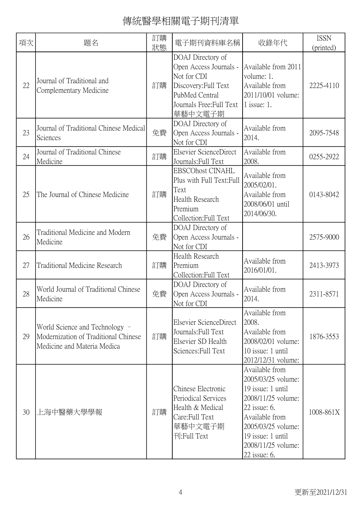| 項次 | 題名                                                                                                    | 訂購<br>狀態 | 電子期刊資料庫名稱                                                                                                                                   | 收錄年代                                                                                                                                                                                               | <b>ISSN</b><br>(printed) |
|----|-------------------------------------------------------------------------------------------------------|----------|---------------------------------------------------------------------------------------------------------------------------------------------|----------------------------------------------------------------------------------------------------------------------------------------------------------------------------------------------------|--------------------------|
| 22 | Journal of Traditional and<br>Complementary Medicine                                                  | 訂購       | DOAJ Directory of<br>Open Access Journals -<br>Not for CDI<br>Discovery: Full Text<br>PubMed Central<br>Journals Free: Full Text<br>華藝中文電子期 | Available from 2011<br>volume: 1.<br>Available from<br>2011/10/01 volume:<br>$1$ issue: 1.                                                                                                         | 2225-4110                |
| 23 | Journal of Traditional Chinese Medical<br>Sciences                                                    | 免費       | DOAJ Directory of<br>Open Access Journals -<br>Not for CDI                                                                                  | Available from<br>2014.                                                                                                                                                                            | 2095-7548                |
| 24 | Journal of Traditional Chinese<br>Medicine                                                            | 訂購       | Elsevier ScienceDirect<br>Journals: Full Text                                                                                               | Available from<br>2008.                                                                                                                                                                            | 0255-2922                |
| 25 | The Journal of Chinese Medicine                                                                       | 訂購       | <b>EBSCOhost CINAHL</b><br>Plus with Full Text:Full<br>Text<br>Health Research<br>Premium<br>Collection: Full Text                          | Available from<br>2005/02/01.<br>Available from<br>2008/06/01 until<br>2014/06/30.                                                                                                                 | 0143-8042                |
| 26 | Traditional Medicine and Modern<br>Medicine                                                           | 免費       | DOAJ Directory of<br>Open Access Journals -<br>Not for CDI                                                                                  |                                                                                                                                                                                                    | 2575-9000                |
| 27 | Traditional Medicine Research                                                                         | 訂購       | Health Research<br>Premium<br>Collection: Full Text                                                                                         | Available from<br>2016/01/01.                                                                                                                                                                      | 2413-3973                |
| 28 | World Journal of Traditional Chinese<br>Medicine                                                      | 免費       | DOAJ Directory of<br>Open Access Journals -<br>Not for CDI                                                                                  | Available from<br>2014.                                                                                                                                                                            | 2311-8571                |
| 29 | World Science and Technology -<br>Modernization of Traditional Chinese<br>Medicine and Materia Medica | 訂購       | Elsevier ScienceDirect<br>Journals: Full Text<br>Elsevier SD Health<br>Sciences: Full Text                                                  | Available from<br>2008.<br>Available from<br>2008/02/01 volume:<br>$10$ issue: 1 until<br>2012/12/31 volume:                                                                                       | 1876-3553                |
| 30 | 上海中醫藥大學學報                                                                                             | 訂購       | Chinese Electronic<br>Periodical Services<br>Health & Medical<br>Care: Full Text<br>華藝中文電子期<br>刊:Full Text                                  | Available from<br>2005/03/25 volume:<br>19 issue: 1 until<br>2008/11/25 volume:<br>22 issue: 6.<br>Available from<br>2005/03/25 volume:<br>19 issue: 1 until<br>2008/11/25 volume:<br>22 issue: 6. | 1008-861X                |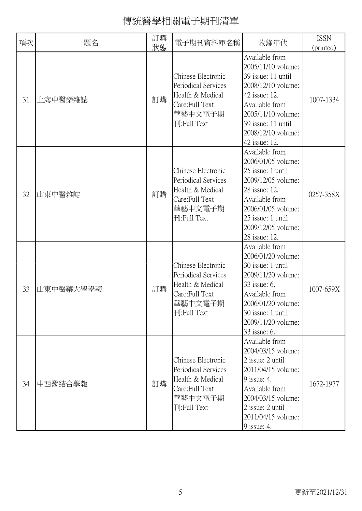| 項次 | 題名        | 訂購<br>狀態 | 電子期刊資料庫名稱                                                                                                  | 收錄年代                                                                                                                                                                                                   | <b>ISSN</b><br>(printed) |
|----|-----------|----------|------------------------------------------------------------------------------------------------------------|--------------------------------------------------------------------------------------------------------------------------------------------------------------------------------------------------------|--------------------------|
| 31 | 上海中醫藥雜誌   | 訂購       | Chinese Electronic<br>Periodical Services<br>Health & Medical<br>Care: Full Text<br>華藝中文電子期<br>刊:Full Text | Available from<br>2005/11/10 volume:<br>39 issue: 11 until<br>2008/12/10 volume:<br>42 issue: 12.<br>Available from<br>2005/11/10 volume:<br>39 issue: 11 until<br>2008/12/10 volume:<br>42 issue: 12. | 1007-1334                |
| 32 | 山東中醫雜誌    | 訂購       | Chinese Electronic<br>Periodical Services<br>Health & Medical<br>Care:Full Text<br>華藝中文電子期<br>刊:Full Text  | Available from<br>2006/01/05 volume:<br>25 issue: 1 until<br>2009/12/05 volume:<br>28 issue: 12.<br>Available from<br>2006/01/05 volume:<br>25 issue: 1 until<br>2009/12/05 volume:<br>28 issue: 12.   | 0257-358X                |
| 33 | 山東中醫藥大學學報 | 訂購       | Chinese Electronic<br>Periodical Services<br>Health & Medical<br>Care:Full Text<br>華藝中文電子期<br>刊:Full Text  | Available from<br>2006/01/20 volume:<br>30 issue: 1 until<br>2009/11/20 volume:<br>33 issue: 6.<br>Available from<br>2006/01/20 volume:<br>30 issue: 1 until<br>2009/11/20 volume:<br>33 issue: 6.     | 1007-659X                |
| 34 | 中西醫結合學報   | 訂購       | Chinese Electronic<br>Periodical Services<br>Health & Medical<br>Care: Full Text<br>華藝中文電子期<br>刊:Full Text | Available from<br>2004/03/15 volume:<br>2 issue: 2 until<br>2011/04/15 volume:<br>$9$ issue: 4.<br>Available from<br>2004/03/15 volume:<br>2 issue: 2 until<br>2011/04/15 volume:<br>$9$ issue: 4.     | 1672-1977                |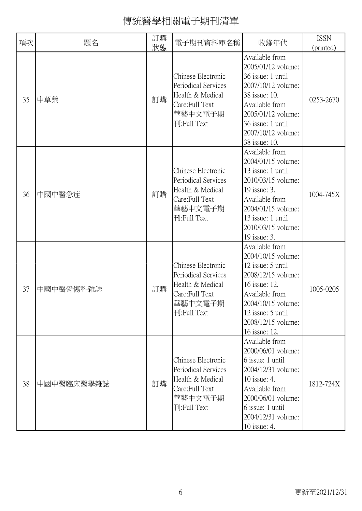| 項次 | 題名         | 訂購<br>狀態 | 電子期刊資料庫名稱                                                                                                  | 收錄年代                                                                                                                                                                                                 | <b>ISSN</b><br>(printed) |
|----|------------|----------|------------------------------------------------------------------------------------------------------------|------------------------------------------------------------------------------------------------------------------------------------------------------------------------------------------------------|--------------------------|
| 35 | 中草藥        | 訂購       | Chinese Electronic<br>Periodical Services<br>Health & Medical<br>Care: Full Text<br>華藝中文電子期<br>刊:Full Text | Available from<br>2005/01/12 volume:<br>36 issue: 1 until<br>2007/10/12 volume:<br>38 issue: 10.<br>Available from<br>2005/01/12 volume:<br>36 issue: 1 until<br>2007/10/12 volume:<br>38 issue: 10. | 0253-2670                |
| 36 | 中國中醫急症     | 訂購       | Chinese Electronic<br>Periodical Services<br>Health & Medical<br>Care: Full Text<br>華藝中文電子期<br>刊:Full Text | Available from<br>2004/01/15 volume:<br>13 issue: 1 until<br>2010/03/15 volume:<br>19 issue: 3.<br>Available from<br>2004/01/15 volume:<br>13 issue: 1 until<br>2010/03/15 volume:<br>19 issue: 3.   | 1004-745X                |
| 37 | 中國中醫骨傷科雜誌  | 訂購       | Chinese Electronic<br>Periodical Services<br>Health & Medical<br>Care:Full Text<br>華藝中文電子期<br>刊:Full Text  | Available from<br>2004/10/15 volume:<br>12 issue: 5 until<br>2008/12/15 volume:<br>16 issue: 12.<br>Available from<br>2004/10/15 volume:<br>12 issue: 5 until<br>2008/12/15 volume:<br>16 issue: 12. | 1005-0205                |
| 38 | 中國中醫臨床醫學雜誌 | 訂購       | Chinese Electronic<br>Periodical Services<br>Health & Medical<br>Care: Full Text<br>華藝中文電子期<br>刊:Full Text | Available from<br>2000/06/01 volume:<br>6 issue: 1 until<br>2004/12/31 volume:<br>10 issue: 4.<br>Available from<br>2000/06/01 volume:<br>6 issue: 1 until<br>2004/12/31 volume:<br>10 issue: 4.     | 1812-724X                |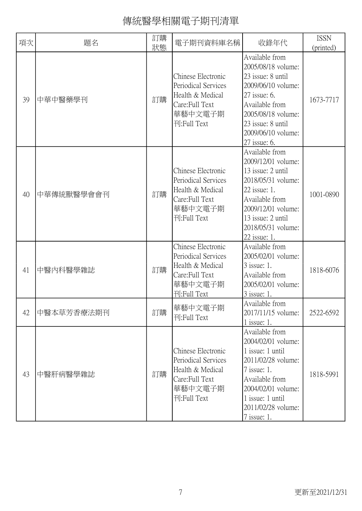| 項次 | 題名         | 訂購<br>狀態 | 電子期刊資料庫名稱                                                                                                  | 收錄年代                                                                                                                                                                                               | <b>ISSN</b><br>(printed) |
|----|------------|----------|------------------------------------------------------------------------------------------------------------|----------------------------------------------------------------------------------------------------------------------------------------------------------------------------------------------------|--------------------------|
| 39 | 中華中醫藥學刊    | 訂購       | Chinese Electronic<br>Periodical Services<br>Health & Medical<br>Care: Full Text<br>華藝中文電子期<br>刊:Full Text | Available from<br>2005/08/18 volume:<br>23 issue: 8 until<br>2009/06/10 volume:<br>27 issue: 6.<br>Available from<br>2005/08/18 volume:<br>23 issue: 8 until<br>2009/06/10 volume:<br>27 issue: 6. | 1673-7717                |
| 40 | 中華傳統獸醫學會會刊 | 訂購       | Chinese Electronic<br>Periodical Services<br>Health & Medical<br>Care:Full Text<br>華藝中文電子期<br>刊:Full Text  | Available from<br>2009/12/01 volume:<br>13 issue: 2 until<br>2018/05/31 volume:<br>22 issue: 1.<br>Available from<br>2009/12/01 volume:<br>13 issue: 2 until<br>2018/05/31 volume:<br>22 issue: 1. | 1001-0890                |
| 41 | 中醫內科醫學雜誌   | 訂購       | Chinese Electronic<br>Periodical Services<br>Health & Medical<br>Care:Full Text<br>華藝中文電子期<br>刊:Full Text  | Available from<br>2005/02/01 volume:<br>3 issue: 1.<br>Available from<br>2005/02/01 volume:<br>3 issue: 1.                                                                                         | 1818-6076                |
| 42 | 中醫本草芳香療法期刊 | 訂購       | 華藝中文電子期<br>刊:Full Text                                                                                     | Available from<br>2017/11/15 volume:<br>$1$ issue: 1.                                                                                                                                              | 2522-6592                |
| 43 | 中醫肝病醫學雜誌   | 訂購       | Chinese Electronic<br>Periodical Services<br>Health & Medical<br>Care: Full Text<br>華藝中文電子期<br>刊:Full Text | Available from<br>2004/02/01 volume:<br>1 issue: 1 until<br>2011/02/28 volume:<br>$7$ issue: 1.<br>Available from<br>2004/02/01 volume:<br>1 issue: 1 until<br>2011/02/28 volume:<br>$7$ issue: 1. | 1818-5991                |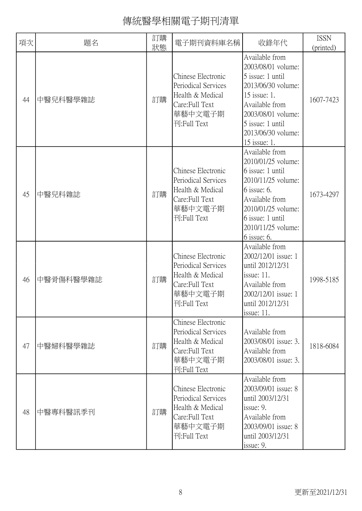| 項次 | 題名        | 訂購<br>狀態 | 電子期刊資料庫名稱                                                                                                  | 收錄年代                                                                                                                                                                                               | <b>ISSN</b><br>(printed) |
|----|-----------|----------|------------------------------------------------------------------------------------------------------------|----------------------------------------------------------------------------------------------------------------------------------------------------------------------------------------------------|--------------------------|
| 44 | 中醫兒科醫學雜誌  | 訂購       | Chinese Electronic<br>Periodical Services<br>Health & Medical<br>Care: Full Text<br>華藝中文電子期<br>刊:Full Text | Available from<br>2003/08/01 volume:<br>5 issue: 1 until<br>2013/06/30 volume:<br>15 issue: 1.<br>Available from<br>2003/08/01 volume:<br>5 issue: 1 until<br>2013/06/30 volume:<br>15 issue: 1.   | 1607-7423                |
| 45 | 中醫兒科雜誌    | 訂購       | Chinese Electronic<br>Periodical Services<br>Health & Medical<br>Care: Full Text<br>華藝中文電子期<br>刊:Full Text | Available from<br>2010/01/25 volume:<br>6 issue: 1 until<br>2010/11/25 volume:<br>$6$ issue: 6.<br>Available from<br>2010/01/25 volume:<br>6 issue: 1 until<br>2010/11/25 volume:<br>$6$ issue: 6. | 1673-4297                |
| 46 | 中醫骨傷科醫學雜誌 | 訂購       | Chinese Electronic<br>Periodical Services<br>Health & Medical<br>Care: Full Text<br>華藝中文電子期<br>刊:Full Text | Available from<br>2002/12/01 issue: 1<br>until 2012/12/31<br>issue: $11$ .<br>Available from<br>2002/12/01 issue: 1<br>until 2012/12/31<br>issue: $11$ .                                           | 1998-5185                |
| 47 | 中醫婦科醫學雜誌  | 訂購       | Chinese Electronic<br>Periodical Services<br>Health & Medical<br>Care: Full Text<br>華藝中文電子期<br>刊:Full Text | Available from<br>2003/08/01 issue: 3.<br>Available from<br>2003/08/01 issue: 3.                                                                                                                   | 1818-6084                |
| 48 | 中醫專科醫訊季刊  | 訂購       | Chinese Electronic<br>Periodical Services<br>Health & Medical<br>Care: Full Text<br>華藝中文電子期<br>刊:Full Text | Available from<br>2003/09/01 issue: 8<br>until 2003/12/31<br>issue: 9.<br>Available from<br>2003/09/01 issue: 8<br>until 2003/12/31<br>issue: 9.                                                   |                          |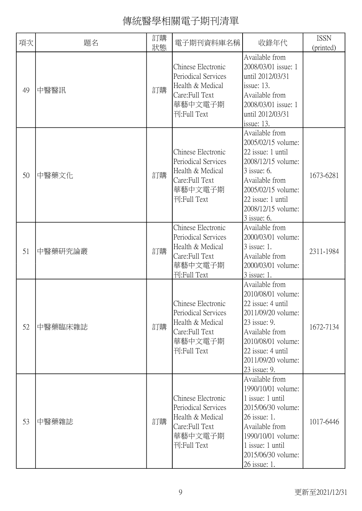| 項次 | 題名      | 訂購<br>狀態 | 電子期刊資料庫名稱                                                                                                  | 收錄年代                                                                                                                                                                                               | <b>ISSN</b><br>(printed) |
|----|---------|----------|------------------------------------------------------------------------------------------------------------|----------------------------------------------------------------------------------------------------------------------------------------------------------------------------------------------------|--------------------------|
| 49 | 中醫醫訊    | 訂購       | Chinese Electronic<br>Periodical Services<br>Health & Medical<br>Care: Full Text<br>華藝中文電子期<br>刊:Full Text | Available from<br>2008/03/01 issue: 1<br>until 2012/03/31<br>issue: $13$ .<br>Available from<br>2008/03/01 issue: 1<br>until 2012/03/31<br>issue: $13$ .                                           |                          |
| 50 | 中醫藥文化   | 訂購       | Chinese Electronic<br>Periodical Services<br>Health & Medical<br>Care: Full Text<br>華藝中文電子期<br>刊:Full Text | Available from<br>2005/02/15 volume:<br>22 issue: 1 until<br>2008/12/15 volume:<br>3 issue: 6.<br>Available from<br>2005/02/15 volume:<br>22 issue: 1 until<br>2008/12/15 volume:<br>$3$ issue: 6. | 1673-6281                |
| 51 | 中醫藥研究論叢 | 訂購       | Chinese Electronic<br>Periodical Services<br>Health & Medical<br>Care: Full Text<br>華藝中文電子期<br>刊:Full Text | Available from<br>2000/03/01 volume:<br>3 issue: 1.<br>Available from<br>2000/03/01 volume:<br>$3$ issue: 1.                                                                                       | 2311-1984                |
| 52 | 中醫藥臨床雜誌 | 訂購       | Chinese Electronic<br>Periodical Services<br>Health & Medical<br>Care: Full Text<br>華藝中文電子期<br>刊:Full Text | Available from<br>2010/08/01 volume:<br>22 issue: 4 until<br>2011/09/20 volume:<br>23 issue: 9.<br>Available from<br>2010/08/01 volume:<br>22 issue: 4 until<br>2011/09/20 volume:<br>23 issue: 9. | 1672-7134                |
| 53 | 中醫藥雜誌   | 訂購       | Chinese Electronic<br>Periodical Services<br>Health & Medical<br>Care: Full Text<br>華藝中文電子期<br>刊:Full Text | Available from<br>1990/10/01 volume:<br>1 issue: 1 until<br>2015/06/30 volume:<br>26 issue: 1.<br>Available from<br>1990/10/01 volume:<br>1 issue: 1 until<br>2015/06/30 volume:<br>26 issue: 1.   | 1017-6446                |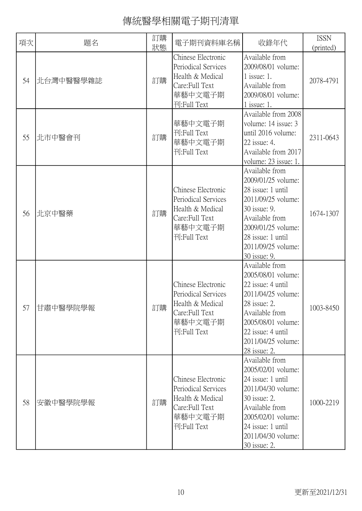| 項次 | 題名        | 訂購<br>狀態 | 電子期刊資料庫名稱                                                                                                  | 收錄年代                                                                                                                                                                                               | <b>ISSN</b><br>(printed) |
|----|-----------|----------|------------------------------------------------------------------------------------------------------------|----------------------------------------------------------------------------------------------------------------------------------------------------------------------------------------------------|--------------------------|
| 54 | 北台灣中醫醫學雜誌 | 訂購       | Chinese Electronic<br>Periodical Services<br>Health & Medical<br>Care: Full Text<br>華藝中文電子期<br>刊:Full Text | Available from<br>2009/08/01 volume:<br>$1$ issue: 1.<br>Available from<br>2009/08/01 volume:<br>$1$ issue: 1.                                                                                     | 2078-4791                |
| 55 | 北市中醫會刊    | 訂購       | 華藝中文電子期<br>刊:Full Text<br>華藝中文電子期<br>刊:Full Text                                                           | Available from 2008<br>volume: 14 issue: 3<br>until 2016 volume:<br>22 issue: 4.<br>Available from 2017<br>volume: 23 issue: 1.                                                                    | 2311-0643                |
| 56 | 北京中醫藥     | 訂購       | Chinese Electronic<br>Periodical Services<br>Health & Medical<br>Care: Full Text<br>華藝中文電子期<br>刊:Full Text | Available from<br>2009/01/25 volume:<br>28 issue: 1 until<br>2011/09/25 volume:<br>30 issue: 9.<br>Available from<br>2009/01/25 volume:<br>28 issue: 1 until<br>2011/09/25 volume:<br>30 issue: 9. | 1674-1307                |
| 57 | 甘肅中醫學院學報  | 訂購       | Chinese Electronic<br>Periodical Services<br>Health & Medical<br>Care: Full Text<br>華藝中文電子期<br>刊:Full Text | Available from<br>2005/08/01 volume:<br>22 issue: 4 until<br>2011/04/25 volume:<br>28 issue: 2.<br>Available from<br>2005/08/01 volume:<br>22 issue: 4 until<br>2011/04/25 volume:<br>28 issue: 2. | 1003-8450                |
| 58 | 安徽中醫學院學報  | 訂購       | Chinese Electronic<br>Periodical Services<br>Health & Medical<br>Care: Full Text<br>華藝中文電子期<br>刊:Full Text | Available from<br>2005/02/01 volume:<br>24 issue: 1 until<br>2011/04/30 volume:<br>30 issue: 2.<br>Available from<br>2005/02/01 volume:<br>24 issue: 1 until<br>2011/04/30 volume:<br>30 issue: 2. | 1000-2219                |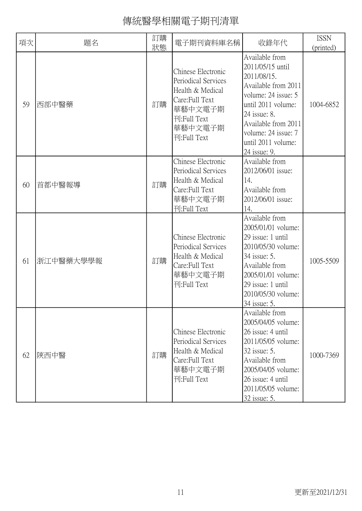| 項次 | 題名        | 訂購<br>狀態 | 電子期刊資料庫名稱                                                                                                                            | 收錄年代                                                                                                                                                                                                                      | <b>ISSN</b><br>(printed) |
|----|-----------|----------|--------------------------------------------------------------------------------------------------------------------------------------|---------------------------------------------------------------------------------------------------------------------------------------------------------------------------------------------------------------------------|--------------------------|
| 59 | 西部中醫藥     | 訂購       | Chinese Electronic<br>Periodical Services<br>Health & Medical<br>Care: Full Text<br>華藝中文電子期<br>刊:Full Text<br>華藝中文電子期<br>刊:Full Text | Available from<br>2011/05/15 until<br>2011/08/15.<br>Available from 2011<br>volume: 24 issue: 5<br>until 2011 volume:<br>24 issue: 8.<br>Available from 2011<br>volume: 24 issue: 7<br>until 2011 volume:<br>24 issue: 9. | 1004-6852                |
| 60 | 首都中醫報導    | 訂購       | Chinese Electronic<br>Periodical Services<br>Health & Medical<br>Care: Full Text<br>華藝中文電子期<br>刊:Full Text                           | Available from<br>2012/06/01 issue:<br>14.<br>Available from<br>2012/06/01 issue:<br>14.                                                                                                                                  |                          |
| 61 | 浙江中醫藥大學學報 | 訂購       | Chinese Electronic<br>Periodical Services<br>Health & Medical<br>Care: Full Text<br>華藝中文電子期<br>刊:Full Text                           | Available from<br>2005/01/01 volume:<br>29 issue: 1 until<br>2010/05/30 volume:<br>34 issue: 5.<br>Available from<br>2005/01/01 volume:<br>29 issue: 1 until<br>2010/05/30 volume:<br>34 issue: 5.                        | 1005-5509                |
| 62 | 陝西中醫      | 訂購       | Chinese Electronic<br>Periodical Services<br>Health & Medical<br>Care: Full Text<br>華藝中文電子期<br>刊:Full Text                           | Available from<br>2005/04/05 volume:<br>26 issue: 4 until<br>2011/05/05 volume:<br>32 issue: 5.<br>Available from<br>2005/04/05 volume:<br>26 issue: 4 until<br>2011/05/05 volume:<br>32 issue: 5.                        | 1000-7369                |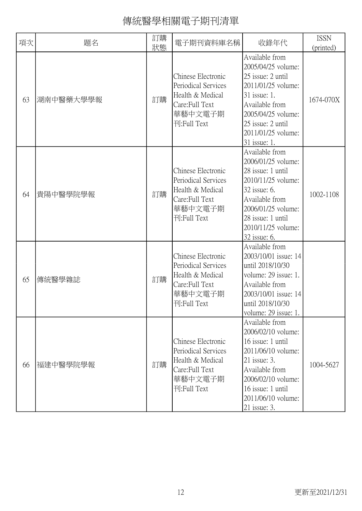| 項次 | 題名        | 訂購<br>狀態 | 電子期刊資料庫名稱                                                                                                  | 收錄年代                                                                                                                                                                                               | <b>ISSN</b><br>(printed) |
|----|-----------|----------|------------------------------------------------------------------------------------------------------------|----------------------------------------------------------------------------------------------------------------------------------------------------------------------------------------------------|--------------------------|
| 63 | 湖南中醫藥大學學報 | 訂購       | Chinese Electronic<br>Periodical Services<br>Health & Medical<br>Care: Full Text<br>華藝中文電子期<br>刊:Full Text | Available from<br>2005/04/25 volume:<br>25 issue: 2 until<br>2011/01/25 volume:<br>31 issue: 1.<br>Available from<br>2005/04/25 volume:<br>25 issue: 2 until<br>2011/01/25 volume:<br>31 issue: 1. | 1674-070X                |
| 64 | 貴陽中醫學院學報  | 訂購       | Chinese Electronic<br>Periodical Services<br>Health & Medical<br>Care: Full Text<br>華藝中文電子期<br>刊:Full Text | Available from<br>2006/01/25 volume:<br>28 issue: 1 until<br>2010/11/25 volume:<br>32 issue: 6.<br>Available from<br>2006/01/25 volume:<br>28 issue: 1 until<br>2010/11/25 volume:<br>32 issue: 6. | 1002-1108                |
| 65 | 傳統醫學雜誌    | 訂購       | Chinese Electronic<br>Periodical Services<br>Health & Medical<br>Care: Full Text<br>華藝中文電子期<br>刊:Full Text | Available from<br>2003/10/01 issue: 14<br>until 2018/10/30<br>volume: 29 issue: 1.<br>Available from<br>2003/10/01 issue: 14<br>until 2018/10/30<br>volume: 29 issue: 1.                           |                          |
| 66 | 福建中醫學院學報  | 訂購       | Chinese Electronic<br>Periodical Services<br>Health & Medical<br>Care: Full Text<br>華藝中文電子期<br>刊:Full Text | Available from<br>2006/02/10 volume:<br>16 issue: 1 until<br>2011/06/10 volume:<br>21 issue: 3.<br>Available from<br>2006/02/10 volume:<br>16 issue: 1 until<br>2011/06/10 volume:<br>21 issue: 3. | 1004-5627                |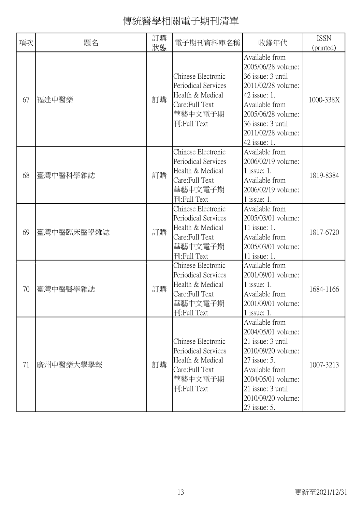| 項次 | 題名         | 訂購<br>狀態 | 電子期刊資料庫名稱                                                                                                  | 收錄年代                                                                                                                                                                                               | <b>ISSN</b><br>(printed) |
|----|------------|----------|------------------------------------------------------------------------------------------------------------|----------------------------------------------------------------------------------------------------------------------------------------------------------------------------------------------------|--------------------------|
| 67 | 福建中醫藥      | 訂購       | Chinese Electronic<br>Periodical Services<br>Health & Medical<br>Care: Full Text<br>華藝中文電子期<br>刊:Full Text | Available from<br>2005/06/28 volume:<br>36 issue: 3 until<br>2011/02/28 volume:<br>42 issue: 1.<br>Available from<br>2005/06/28 volume:<br>36 issue: 3 until<br>2011/02/28 volume:<br>42 issue: 1. | 1000-338X                |
| 68 | 臺灣中醫科學雜誌   | 訂購       | Chinese Electronic<br>Periodical Services<br>Health & Medical<br>Care: Full Text<br>華藝中文電子期<br>刊:Full Text | Available from<br>2006/02/19 volume:<br>$1$ issue: 1.<br>Available from<br>2006/02/19 volume:<br>$1$ issue: 1.                                                                                     | 1819-8384                |
| 69 | 臺灣中醫臨床醫學雜誌 | 訂購       | Chinese Electronic<br>Periodical Services<br>Health & Medical<br>Care: Full Text<br>華藝中文電子期<br>刊:Full Text | Available from<br>2005/03/01 volume:<br>11 issue: 1.<br>Available from<br>2005/03/01 volume:<br>11 issue: 1.                                                                                       | 1817-6720                |
| 70 | 臺灣中醫醫學雜誌   | 訂購       | Chinese Electronic<br>Periodical Services<br>Health & Medical<br>Care: Full Text<br>華藝中文電子期<br>刊:Full Text | Available from<br>2001/09/01 volume:<br>$1$ issue: 1.<br>Available from<br>2001/09/01 volume:<br>1 issue: $1$ .                                                                                    | 1684-1166                |
| 71 | 廣州中醫藥大學學報  | 訂購       | Chinese Electronic<br>Periodical Services<br>Health & Medical<br>Care: Full Text<br>華藝中文電子期<br>刊:Full Text | Available from<br>2004/05/01 volume:<br>21 issue: 3 until<br>2010/09/20 volume:<br>27 issue: 5.<br>Available from<br>2004/05/01 volume:<br>21 issue: 3 until<br>2010/09/20 volume:<br>27 issue: 5. | 1007-3213                |